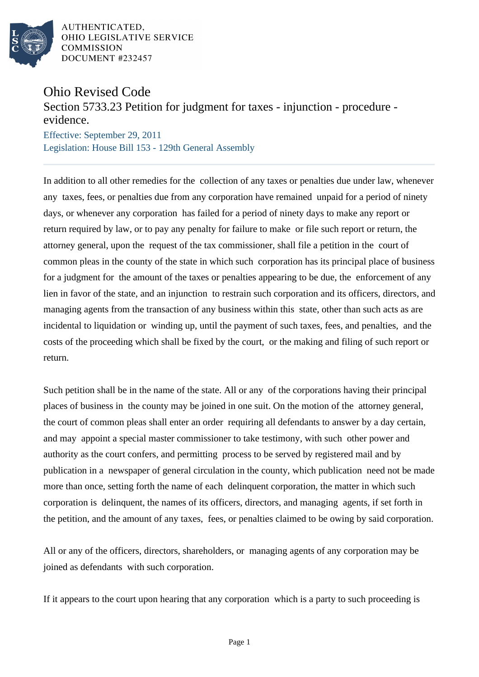

AUTHENTICATED, OHIO LEGISLATIVE SERVICE **COMMISSION** DOCUMENT #232457

## Ohio Revised Code

Section 5733.23 Petition for judgment for taxes - injunction - procedure evidence.

Effective: September 29, 2011 Legislation: House Bill 153 - 129th General Assembly

In addition to all other remedies for the collection of any taxes or penalties due under law, whenever any taxes, fees, or penalties due from any corporation have remained unpaid for a period of ninety days, or whenever any corporation has failed for a period of ninety days to make any report or return required by law, or to pay any penalty for failure to make or file such report or return, the attorney general, upon the request of the tax commissioner, shall file a petition in the court of common pleas in the county of the state in which such corporation has its principal place of business for a judgment for the amount of the taxes or penalties appearing to be due, the enforcement of any lien in favor of the state, and an injunction to restrain such corporation and its officers, directors, and managing agents from the transaction of any business within this state, other than such acts as are incidental to liquidation or winding up, until the payment of such taxes, fees, and penalties, and the costs of the proceeding which shall be fixed by the court, or the making and filing of such report or return.

Such petition shall be in the name of the state. All or any of the corporations having their principal places of business in the county may be joined in one suit. On the motion of the attorney general, the court of common pleas shall enter an order requiring all defendants to answer by a day certain, and may appoint a special master commissioner to take testimony, with such other power and authority as the court confers, and permitting process to be served by registered mail and by publication in a newspaper of general circulation in the county, which publication need not be made more than once, setting forth the name of each delinquent corporation, the matter in which such corporation is delinquent, the names of its officers, directors, and managing agents, if set forth in the petition, and the amount of any taxes, fees, or penalties claimed to be owing by said corporation.

All or any of the officers, directors, shareholders, or managing agents of any corporation may be joined as defendants with such corporation.

If it appears to the court upon hearing that any corporation which is a party to such proceeding is